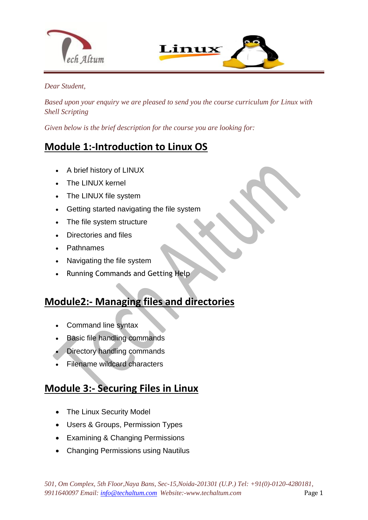



#### *Dear Student,*

*Based upon your enquiry we are pleased to send you the course curriculum for Linux with Shell Scripting*

*Given below is the brief description for the course you are looking for:*

### **Module 1:-Introduction to Linux OS**

A brief history of LINUX

 $\overline{a}$ 

- The LINUX kernel
- The LINUX file system
- Getting started navigating the file system
- The file system structure
- Directories and files
- Pathnames
- Navigating the file system
- Running Commands and Getting Help

## **Module2:- Managing files and directories**

- Command line syntax
- Basic file handling commands
- Directory handling commands
- Filename wildcard characters

#### **Module 3:- Securing Files in Linux**

- The Linux Security Model
- Users & Groups, Permission Types
- Examining & Changing Permissions
- Changing Permissions using Nautilus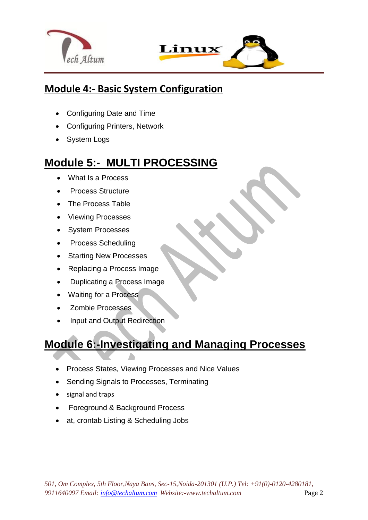



### **Module 4:- Basic System Configuration**

Configuring Date and Time

 $\overline{a}$ 

- Configuring Printers, Network
- System Logs

## **Module 5:- MULTI PROCESSING**

- What Is a Process
- Process Structure
- The Process Table
- Viewing Processes
- System Processes
- Process Scheduling
- Starting New Processes
- Replacing a Process Image
- Duplicating a Process Image
- Waiting for a Process
- Zombie Processes
- Input and Output Redirection

## **Module 6:-Investigating and Managing Processes**

- Process States, Viewing Processes and Nice Values
- Sending Signals to Processes, Terminating
- signal and traps
- Foreground & Background Process
- at, crontab Listing & Scheduling Jobs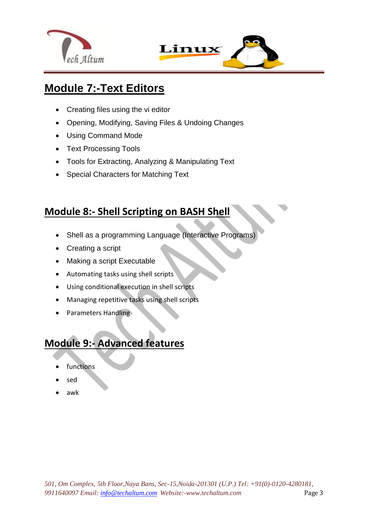



## **Module 7:-Text Editors**

 $\overline{a}$ 

- Creating files using the vi editor
- Opening, Modifying, Saving Files & Undoing Changes
- Using Command Mode
- Text Processing Tools
- Tools for Extracting, Analyzing & Manipulating Text
- Special Characters for Matching Text

## **Module 8:- Shell Scripting on BASH Shell**

- Shell as a programming Language (Interactive Programs)
- Creating a script
- Making a script Executable
- Automating tasks using shell scripts
- Using conditional execution in shell scripts
- Managing repetitive tasks using shell scripts
- Parameters Handling

## **Module 9:- Advanced features**

- functions
- sed
- awk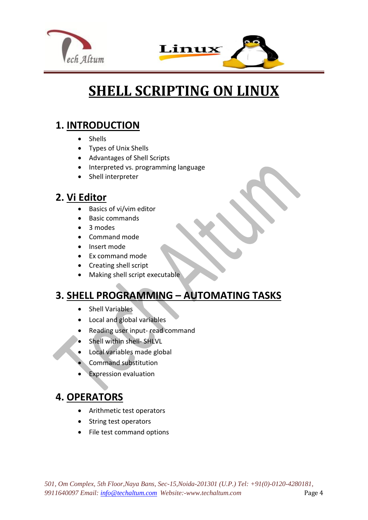



# **SHELL SCRIPTING ON LINUX**

### **1. INTRODUCTION**

- Shells
- Types of Unix Shells
- Advantages of Shell Scripts
- Interpreted vs. programming language
- Shell interpreter

### **2. Vi Editor**

- Basics of vi/vim editor
- Basic commands
- 3 modes
- Command mode
- Insert mode
- Ex command mode
- Creating shell script
- Making shell script executable

## **3. SHELL PROGRAMMING – AUTOMATING TASKS**

- Shell Variables
- Local and global variables
- Reading user input- read command
- Shell within shell- SHLVL
- Local variables made global
- Command substitution
- Expression evaluation

## **4. OPERATORS**

- Arithmetic test operators
- String test operators
- File test command options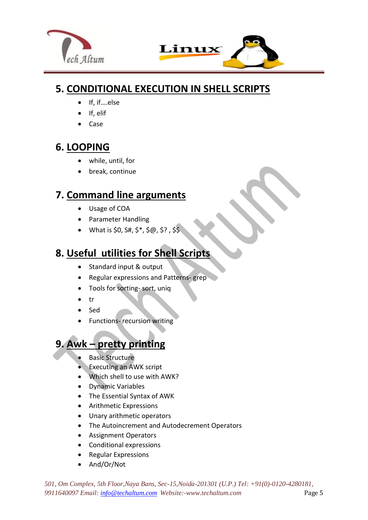



### **5. CONDITIONAL EXECUTION IN SHELL SCRIPTS**

- If, if....else
- If, elif
- Case

### **6. LOOPING**

- while, until, for
- break, continue

### **7. Command line arguments**

- Usage of COA
- Parameter Handling
- What is \$0,  $$4, $*$ ,  $$@, $?$ ,  $$$$

## **8. Useful utilities for Shell Scripts**

- Standard input & output
- Regular expressions and Patterns- grep
- Tools for sorting- sort, uniq
- $\bullet$  tr
- Sed
- Functions- recursion writing

## **9. Awk – pretty printing**

- [Basic Structure](http://www.grymoire.com/Unix/Awk.html#uh-1)
- [Executing an AWK script](http://www.grymoire.com/Unix/Awk.html#uh-2)
- [Which shell to use with AWK?](http://www.grymoire.com/Unix/Awk.html#uh-3)
- [Dynamic Variables](http://www.grymoire.com/Unix/Awk.html#uh-4)
- [The Essential Syntax of AWK](http://www.grymoire.com/Unix/Awk.html#uh-5)
- [Arithmetic Expressions](http://www.grymoire.com/Unix/Awk.html#uh-6)
- [Unary arithmetic operators](http://www.grymoire.com/Unix/Awk.html#uh-7)
- [The Autoincrement and Autodecrement Operators](http://www.grymoire.com/Unix/Awk.html#uh-8)
- [Assignment Operators](http://www.grymoire.com/Unix/Awk.html#uh-9)
- [Conditional expressions](http://www.grymoire.com/Unix/Awk.html#uh-10)
- [Regular Expressions](http://www.grymoire.com/Unix/Awk.html#uh-11)
- [And/Or/Not](http://www.grymoire.com/Unix/Awk.html#uh-12)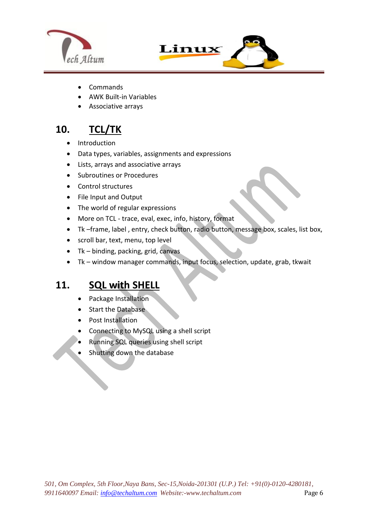



- **[Commands](http://www.grymoire.com/Unix/Awk.html#uh-13)**
- [AWK Built-in Variables](http://www.grymoire.com/Unix/Awk.html#uh-14)
- Associative arrays

 $\overline{a}$ 

## **10. TCL/TK**

- Introduction
- Data types, variables, assignments and expressions
- Lists, arrays and associative arrays
- Subroutines or Procedures
- Control structures
- File Input and Output
- The world of regular expressions
- More on TCL trace, eval, exec, info, history, format
- Tk –frame, label , entry, check button, radio button, message box, scales, list box,
- scroll bar, text, menu, top level
- $\bullet$  Tk binding, packing, grid, canvas
- Tk window manager commands, input focus, selection, update, grab, tkwait

#### **11. SQL with SHELL**

- Package Installation
- Start the Database
- Post Installation
- Connecting to MySQL using a shell script
- Running SQL queries using shell script
- Shutting down the database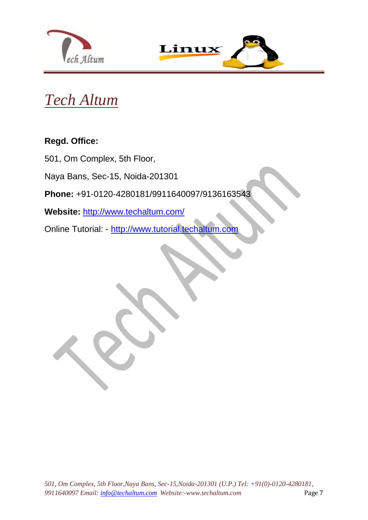



## *Tech Altum*

#### **Regd. Office:**

501, Om Complex, 5th Floor,

Naya Bans, Sec-15, Noida-201301

**Phone:** +91-0120-4280181/9911640097/9136163543

**Website:** <http://www.techaltum.com/>

Online Tutorial: - [http://www.tutorial.techaltum.com](http://www.tutorial.techaltum.com/)